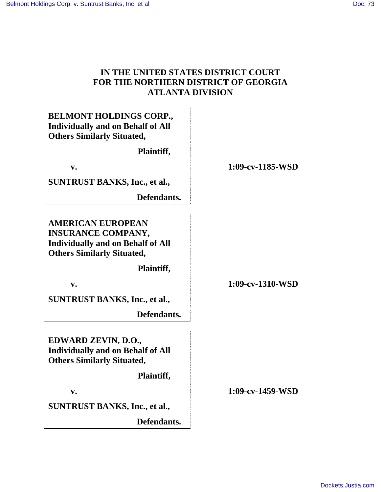# **IN THE UNITED STATES DISTRICT COURT FOR THE NORTHERN DISTRICT OF GEORGIA ATLANTA DIVISION**

| <b>BELMONT HOLDINGS CORP.,</b><br><b>Individually and on Behalf of All</b><br><b>Others Similarly Situated,</b><br>Plaintiff,          |                     |
|----------------------------------------------------------------------------------------------------------------------------------------|---------------------|
| $V_{\bullet}$                                                                                                                          | $1:09$ -cv-1185-WSD |
| <b>SUNTRUST BANKS, Inc., et al.,</b>                                                                                                   |                     |
| Defendants.                                                                                                                            |                     |
|                                                                                                                                        |                     |
| <b>AMERICAN EUROPEAN</b><br><b>INSURANCE COMPANY,</b><br><b>Individually and on Behalf of All</b><br><b>Others Similarly Situated,</b> |                     |
| Plaintiff,                                                                                                                             |                     |
| $V_{\bullet}$                                                                                                                          | 1:09-cv-1310-WSD    |
| <b>SUNTRUST BANKS, Inc., et al.,</b>                                                                                                   |                     |
| Defendants.                                                                                                                            |                     |
| EDWARD ZEVIN, D.O.,<br><b>Individually and on Behalf of All</b><br><b>Others Similarly Situated,</b>                                   |                     |
| Plaintiff,                                                                                                                             |                     |
| $V_{\bullet}$                                                                                                                          | $1:09-cv-1459-WSD$  |
| <b>SUNTRUST BANKS, Inc., et al.,</b>                                                                                                   |                     |
| Defendants.                                                                                                                            |                     |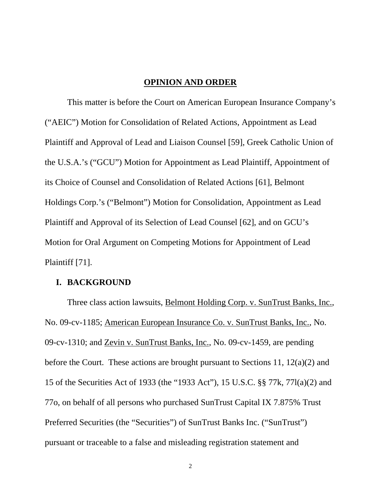#### **OPINION AND ORDER**

This matter is before the Court on American European Insurance Company's ("AEIC") Motion for Consolidation of Related Actions, Appointment as Lead Plaintiff and Approval of Lead and Liaison Counsel [59], Greek Catholic Union of the U.S.A.'s ("GCU") Motion for Appointment as Lead Plaintiff, Appointment of its Choice of Counsel and Consolidation of Related Actions [61], Belmont Holdings Corp.'s ("Belmont") Motion for Consolidation, Appointment as Lead Plaintiff and Approval of its Selection of Lead Counsel [62], and on GCU's Motion for Oral Argument on Competing Motions for Appointment of Lead Plaintiff [71].

#### **I. BACKGROUND**

Three class action lawsuits, Belmont Holding Corp. v. SunTrust Banks, Inc., No. 09-cv-1185; American European Insurance Co. v. SunTrust Banks, Inc., No. 09-cv-1310; and Zevin v. SunTrust Banks, Inc., No. 09-cv-1459, are pending before the Court. These actions are brought pursuant to Sections 11, 12(a)(2) and 15 of the Securities Act of 1933 (the "1933 Act"), 15 U.S.C. §§ 77k, 77l(a)(2) and 77o, on behalf of all persons who purchased SunTrust Capital IX 7.875% Trust Preferred Securities (the "Securities") of SunTrust Banks Inc. ("SunTrust") pursuant or traceable to a false and misleading registration statement and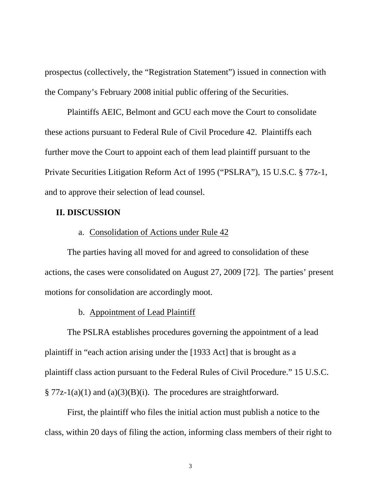prospectus (collectively, the "Registration Statement") issued in connection with the Company's February 2008 initial public offering of the Securities.

 Plaintiffs AEIC, Belmont and GCU each move the Court to consolidate these actions pursuant to Federal Rule of Civil Procedure 42. Plaintiffs each further move the Court to appoint each of them lead plaintiff pursuant to the Private Securities Litigation Reform Act of 1995 ("PSLRA"), 15 U.S.C. § 77z-1, and to approve their selection of lead counsel.

### **II. DISCUSSION**

## a. Consolidation of Actions under Rule 42

The parties having all moved for and agreed to consolidation of these actions, the cases were consolidated on August 27, 2009 [72]. The parties' present motions for consolidation are accordingly moot.

# b. Appointment of Lead Plaintiff

The PSLRA establishes procedures governing the appointment of a lead plaintiff in "each action arising under the [1933 Act] that is brought as a plaintiff class action pursuant to the Federal Rules of Civil Procedure." 15 U.S.C.  $\S 77z-1(a)(1)$  and  $(a)(3)(B)(i)$ . The procedures are straightforward.

First, the plaintiff who files the initial action must publish a notice to the class, within 20 days of filing the action, informing class members of their right to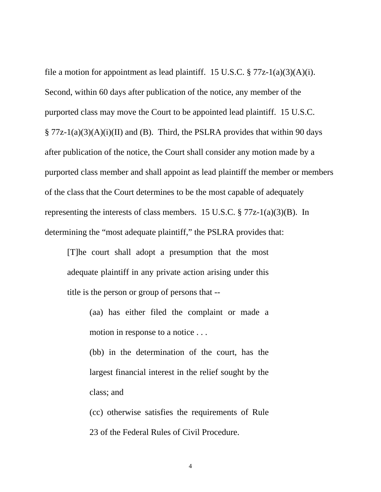file a motion for appointment as lead plaintiff. 15 U.S.C.  $\S 77z-1(a)(3)(A)(i)$ . Second, within 60 days after publication of the notice, any member of the purported class may move the Court to be appointed lead plaintiff. 15 U.S.C.  $\S 77z-1(a)(3)(A)(i)(II)$  and (B). Third, the PSLRA provides that within 90 days after publication of the notice, the Court shall consider any motion made by a purported class member and shall appoint as lead plaintiff the member or members of the class that the Court determines to be the most capable of adequately representing the interests of class members. 15 U.S.C.  $\S 77z-1(a)(3)(B)$ . In determining the "most adequate plaintiff," the PSLRA provides that:

[T]he court shall adopt a presumption that the most adequate plaintiff in any private action arising under this title is the person or group of persons that --

> (aa) has either filed the complaint or made a motion in response to a notice . . .

> (bb) in the determination of the court, has the largest financial interest in the relief sought by the class; and

> (cc) otherwise satisfies the requirements of Rule 23 of the Federal Rules of Civil Procedure.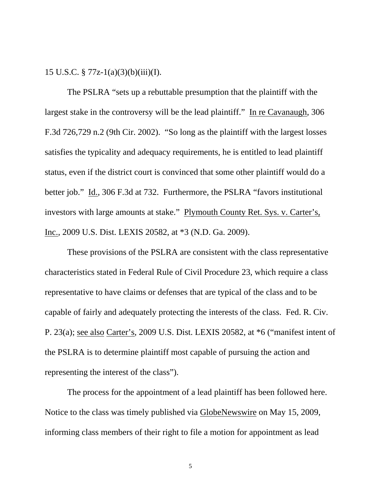15 U.S.C. § 77z-1(a)(3)(b)(iii)(I).

The PSLRA "sets up a rebuttable presumption that the plaintiff with the largest stake in the controversy will be the lead plaintiff." In re Cavanaugh, 306 F.3d 726,729 n.2 (9th Cir. 2002). "So long as the plaintiff with the largest losses satisfies the typicality and adequacy requirements, he is entitled to lead plaintiff status, even if the district court is convinced that some other plaintiff would do a better job." Id., 306 F.3d at 732. Furthermore, the PSLRA "favors institutional investors with large amounts at stake." Plymouth County Ret. Sys. v. Carter's, Inc., 2009 U.S. Dist. LEXIS 20582, at \*3 (N.D. Ga. 2009).

These provisions of the PSLRA are consistent with the class representative characteristics stated in Federal Rule of Civil Procedure 23, which require a class representative to have claims or defenses that are typical of the class and to be capable of fairly and adequately protecting the interests of the class. Fed. R. Civ. P. 23(a); see also Carter's, 2009 U.S. Dist. LEXIS 20582, at \*6 ("manifest intent of the PSLRA is to determine plaintiff most capable of pursuing the action and representing the interest of the class").

The process for the appointment of a lead plaintiff has been followed here. Notice to the class was timely published via GlobeNewswire on May 15, 2009, informing class members of their right to file a motion for appointment as lead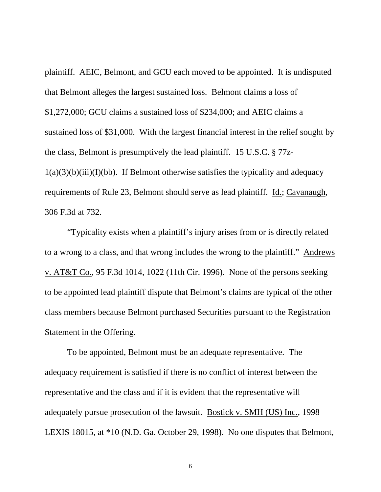plaintiff. AEIC, Belmont, and GCU each moved to be appointed. It is undisputed that Belmont alleges the largest sustained loss. Belmont claims a loss of \$1,272,000; GCU claims a sustained loss of \$234,000; and AEIC claims a sustained loss of \$31,000. With the largest financial interest in the relief sought by the class, Belmont is presumptively the lead plaintiff. 15 U.S.C. § 77z- $1(a)(3)(b)(iii)(I)(bb)$ . If Belmont otherwise satisfies the typicality and adequacy requirements of Rule 23, Belmont should serve as lead plaintiff. Id.; Cavanaugh, 306 F.3d at 732.

"Typicality exists when a plaintiff's injury arises from or is directly related to a wrong to a class, and that wrong includes the wrong to the plaintiff." Andrews v. AT&T Co., 95 F.3d 1014, 1022 (11th Cir. 1996). None of the persons seeking to be appointed lead plaintiff dispute that Belmont's claims are typical of the other class members because Belmont purchased Securities pursuant to the Registration Statement in the Offering.

To be appointed, Belmont must be an adequate representative. The adequacy requirement is satisfied if there is no conflict of interest between the representative and the class and if it is evident that the representative will adequately pursue prosecution of the lawsuit. Bostick v. SMH (US) Inc., 1998 LEXIS 18015, at \*10 (N.D. Ga. October 29, 1998). No one disputes that Belmont,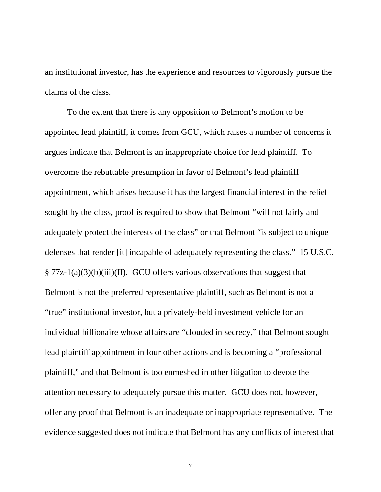an institutional investor, has the experience and resources to vigorously pursue the claims of the class.

To the extent that there is any opposition to Belmont's motion to be appointed lead plaintiff, it comes from GCU, which raises a number of concerns it argues indicate that Belmont is an inappropriate choice for lead plaintiff. To overcome the rebuttable presumption in favor of Belmont's lead plaintiff appointment, which arises because it has the largest financial interest in the relief sought by the class, proof is required to show that Belmont "will not fairly and adequately protect the interests of the class" or that Belmont "is subject to unique defenses that render [it] incapable of adequately representing the class." 15 U.S.C.  $\S 77z-1(a)(3)(b)(iii)(II)$ . GCU offers various observations that suggest that Belmont is not the preferred representative plaintiff, such as Belmont is not a "true" institutional investor, but a privately-held investment vehicle for an individual billionaire whose affairs are "clouded in secrecy," that Belmont sought lead plaintiff appointment in four other actions and is becoming a "professional plaintiff," and that Belmont is too enmeshed in other litigation to devote the attention necessary to adequately pursue this matter. GCU does not, however, offer any proof that Belmont is an inadequate or inappropriate representative. The evidence suggested does not indicate that Belmont has any conflicts of interest that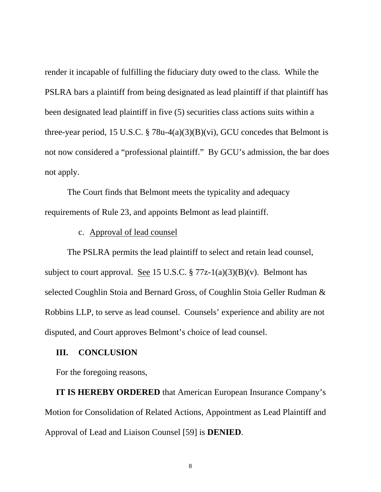render it incapable of fulfilling the fiduciary duty owed to the class. While the PSLRA bars a plaintiff from being designated as lead plaintiff if that plaintiff has been designated lead plaintiff in five (5) securities class actions suits within a three-year period, 15 U.S.C. § 78u-4(a)(3)(B)(vi), GCU concedes that Belmont is not now considered a "professional plaintiff." By GCU's admission, the bar does not apply.

The Court finds that Belmont meets the typicality and adequacy requirements of Rule 23, and appoints Belmont as lead plaintiff.

c. Approval of lead counsel

The PSLRA permits the lead plaintiff to select and retain lead counsel, subject to court approval. See 15 U.S.C.  $\S 77z-1(a)(3)(B)(v)$ . Belmont has selected Coughlin Stoia and Bernard Gross, of Coughlin Stoia Geller Rudman & Robbins LLP, to serve as lead counsel. Counsels' experience and ability are not disputed, and Court approves Belmont's choice of lead counsel.

### **III. CONCLUSION**

For the foregoing reasons,

**IT IS HEREBY ORDERED** that American European Insurance Company's Motion for Consolidation of Related Actions, Appointment as Lead Plaintiff and Approval of Lead and Liaison Counsel [59] is **DENIED**.